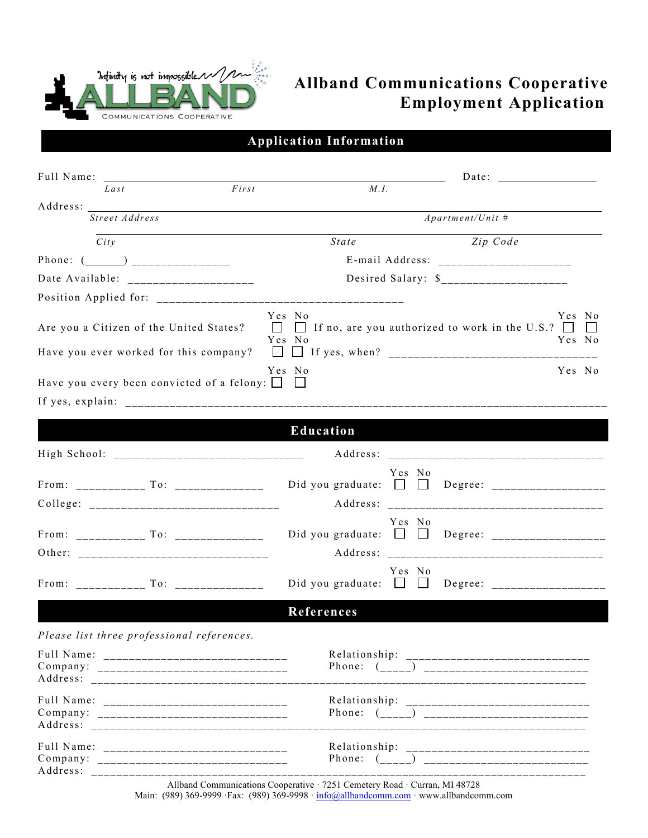

## **Allband Communications Cooperative Employment Application**

|  | <b>Application Information</b> |  |
|--|--------------------------------|--|
|  |                                |  |

| Last     | First                                                                             | M.I.             |                                                                                  |  |
|----------|-----------------------------------------------------------------------------------|------------------|----------------------------------------------------------------------------------|--|
| Address: |                                                                                   |                  |                                                                                  |  |
|          | Street Address                                                                    |                  | $A$ partment/Unit #                                                              |  |
| City     |                                                                                   | <b>State</b>     | Zip Code                                                                         |  |
|          |                                                                                   |                  |                                                                                  |  |
|          |                                                                                   |                  |                                                                                  |  |
|          |                                                                                   |                  |                                                                                  |  |
|          | Are you a Citizen of the United States?<br>Have you ever worked for this company? | Yes No<br>Yes No | Yes No<br>$\Box$ If no, are you authorized to work in the U.S.? $\Box$<br>Yes No |  |
|          | Have you every been convicted of a felony: $\Box$                                 | Yes No           | Yes No                                                                           |  |
|          |                                                                                   |                  |                                                                                  |  |
|          |                                                                                   | Education        |                                                                                  |  |
|          |                                                                                   |                  |                                                                                  |  |
|          |                                                                                   |                  | Yes No<br>Did you graduate: $\Box$ Degree: ___________________                   |  |
|          |                                                                                   |                  | Yes No                                                                           |  |
|          | From: To:                                                                         |                  | Yes No<br>Did you graduate: $\Box$ $\Box$ Degree: ________________               |  |
|          |                                                                                   | References       |                                                                                  |  |
|          | Please list three professional references.                                        |                  |                                                                                  |  |
|          |                                                                                   |                  |                                                                                  |  |
|          |                                                                                   |                  | ______________________                                                           |  |
| Address: |                                                                                   |                  |                                                                                  |  |

Allband Communications Cooperative · 7251 Cemetery Road · Curran, MI 48728 Main: (989) 369-9999 ·Fax: (989) 369-9998 · info@allbandcomm.com · www.allbandcomm.com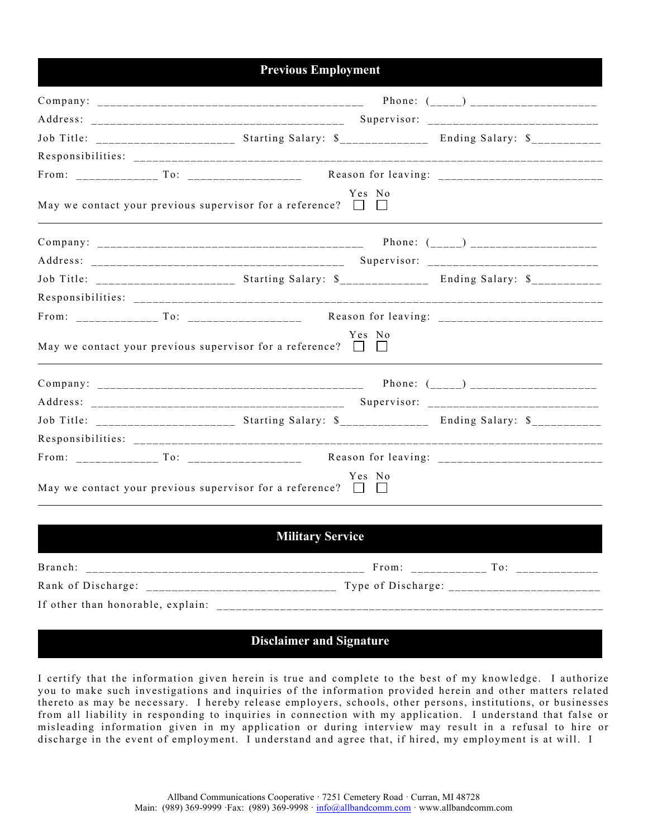## **Previous Employment**

|  | Job Title: __________________________ Starting Salary: \$______________ Ending Salary: \$____________ |        |                                                                                                     |
|--|-------------------------------------------------------------------------------------------------------|--------|-----------------------------------------------------------------------------------------------------|
|  |                                                                                                       |        |                                                                                                     |
|  |                                                                                                       |        |                                                                                                     |
|  | May we contact your previous supervisor for a reference? $\Box$ $\Box$                                | Yes No |                                                                                                     |
|  |                                                                                                       |        |                                                                                                     |
|  |                                                                                                       |        |                                                                                                     |
|  |                                                                                                       |        | Job Title: ________________________ Starting Salary: \$______________ Ending Salary: \$____________ |
|  |                                                                                                       |        |                                                                                                     |
|  |                                                                                                       |        |                                                                                                     |
|  | May we contact your previous supervisor for a reference? $\Box$ $\Box$                                | Yes No |                                                                                                     |
|  |                                                                                                       |        |                                                                                                     |
|  |                                                                                                       |        |                                                                                                     |
|  |                                                                                                       |        | Job Title: ________________________ Starting Salary: \$______________ Ending Salary: \$___________  |
|  |                                                                                                       |        |                                                                                                     |
|  |                                                                                                       |        |                                                                                                     |
|  | May we contact your previous supervisor for a reference? $\Box$ $\Box$                                | Yes No |                                                                                                     |

| <b>Military Service</b>           |                    |     |  |  |  |  |  |
|-----------------------------------|--------------------|-----|--|--|--|--|--|
| Branch:                           | From:              | To: |  |  |  |  |  |
| Rank of Discharge:                | Type of Discharge: |     |  |  |  |  |  |
| If other than honorable, explain: |                    |     |  |  |  |  |  |

## **Disclaimer and Signature**

I certify that the information given herein is true and complete to the best of my knowledge. I authorize you to make such investigations and inquiries of the information provided herein and other matters related thereto as may be necessary. I hereby release employers, schools, other persons, institutions, or businesses from all liability in responding to inquiries in connection with my application. I understand that false or misleading information given in my application or during interview may result in a refusal to hire or discharge in the event of employment. I understand and agree that, if hired, my employment is at will. I